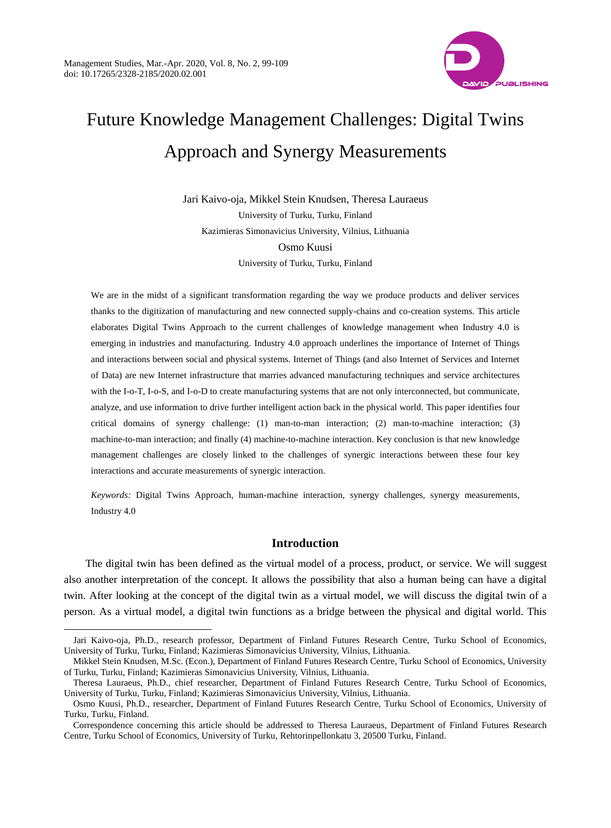$\overline{a}$ 



# Future Knowledge Management Challenges: Digital Twins Approach and Synergy Measurements

Jari Kaivo-oja, Mikkel Stein Knudsen, Theresa Lauraeus University of Turku, Turku, Finland Kazimieras Simonavicius University, Vilnius, Lithuania Osmo Kuusi University of Turku, Turku, Finland

We are in the midst of a significant transformation regarding the way we produce products and deliver services thanks to the digitization of manufacturing and new connected supply-chains and co-creation systems. This article elaborates Digital Twins Approach to the current challenges of knowledge management when Industry 4.0 is emerging in industries and manufacturing. Industry 4.0 approach underlines the importance of Internet of Things and interactions between social and physical systems. Internet of Things (and also Internet of Services and Internet of Data) are new Internet infrastructure that marries advanced manufacturing techniques and service architectures with the I-o-T, I-o-S, and I-o-D to create manufacturing systems that are not only interconnected, but communicate, analyze, and use information to drive further intelligent action back in the physical world. This paper identifies four critical domains of synergy challenge: (1) man-to-man interaction; (2) man-to-machine interaction; (3) machine-to-man interaction; and finally (4) machine-to-machine interaction. Key conclusion is that new knowledge management challenges are closely linked to the challenges of synergic interactions between these four key interactions and accurate measurements of synergic interaction.

*Keywords:* Digital Twins Approach, human-machine interaction, synergy challenges, synergy measurements, Industry 4.0

## **Introduction**

The digital twin has been defined as the virtual model of a process, product, or service. We will suggest also another interpretation of the concept. It allows the possibility that also a human being can have a digital twin. After looking at the concept of the digital twin as a virtual model, we will discuss the digital twin of a person. As a virtual model, a digital twin functions as a bridge between the physical and digital world. This

Jari Kaivo-oja, Ph.D., research professor, Department of Finland Futures Research Centre, Turku School of Economics, University of Turku, Turku, Finland; Kazimieras Simonavicius University, Vilnius, Lithuania.

Mikkel Stein Knudsen, M.Sc. (Econ.), Department of Finland Futures Research Centre, Turku School of Economics, University of Turku, Turku, Finland; Kazimieras Simonavicius University, Vilnius, Lithuania.

Theresa Lauraeus, Ph.D., chief researcher, Department of Finland Futures Research Centre, Turku School of Economics, University of Turku, Turku, Finland; Kazimieras Simonavicius University, Vilnius, Lithuania.

Osmo Kuusi, Ph.D., researcher, Department of Finland Futures Research Centre, Turku School of Economics, University of Turku, Turku, Finland.

Correspondence concerning this article should be addressed to Theresa Lauraeus, Department of Finland Futures Research Centre, Turku School of Economics, University of Turku, Rehtorinpellonkatu 3, 20500 Turku, Finland.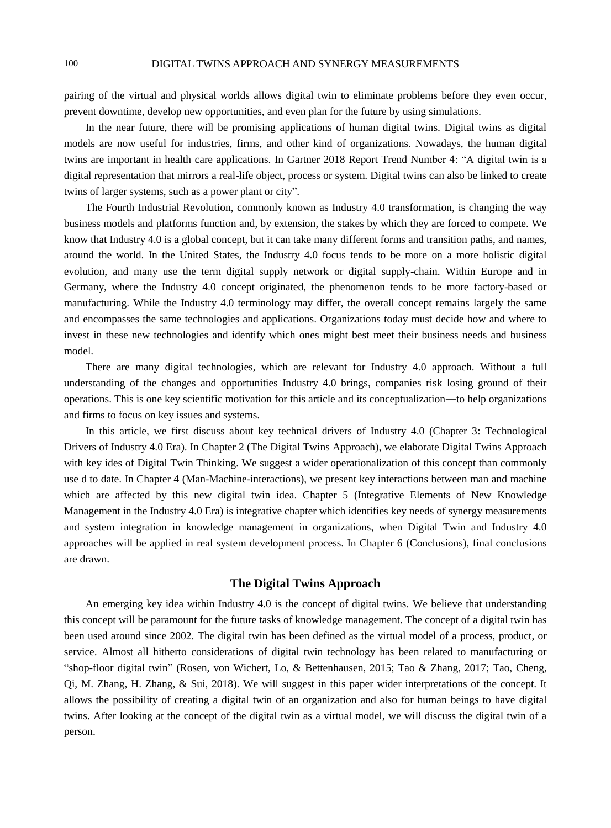pairing of the virtual and physical worlds allows digital twin to eliminate problems before they even occur, prevent downtime, develop new opportunities, and even plan for the future by using simulations.

In the near future, there will be promising applications of human digital twins. Digital twins as digital models are now useful for industries, firms, and other kind of organizations. Nowadays, the human digital twins are important in health care applications. In Gartner 2018 Report Trend Number 4: "A digital twin is a digital representation that mirrors a real-life object, process or system. Digital twins can also be linked to create twins of larger systems, such as a power plant or city".

The Fourth Industrial Revolution, commonly known as Industry 4.0 transformation, is changing the way business models and platforms function and, by extension, the stakes by which they are forced to compete. We know that Industry 4.0 is a global concept, but it can take many different forms and transition paths, and names, around the world. In the United States, the Industry 4.0 focus tends to be more on a more holistic digital evolution, and many use the term digital supply network or digital supply-chain. Within Europe and in Germany, where the Industry 4.0 concept originated, the phenomenon tends to be more factory-based or manufacturing. While the Industry 4.0 terminology may differ, the overall concept remains largely the same and encompasses the same technologies and applications. Organizations today must decide how and where to invest in these new technologies and identify which ones might best meet their business needs and business model.

There are many digital technologies, which are relevant for Industry 4.0 approach. Without a full understanding of the changes and opportunities Industry 4.0 brings, companies risk losing ground of their operations. This is one key scientific motivation for this article and its conceptualization―to help organizations and firms to focus on key issues and systems.

In this article, we first discuss about key technical drivers of Industry 4.0 (Chapter 3: Technological Drivers of Industry 4.0 Era). In Chapter 2 (The Digital Twins Approach), we elaborate Digital Twins Approach with key ides of Digital Twin Thinking. We suggest a wider operationalization of this concept than commonly use d to date. In Chapter 4 (Man-Machine-interactions), we present key interactions between man and machine which are affected by this new digital twin idea. Chapter 5 (Integrative Elements of New Knowledge Management in the Industry 4.0 Era) is integrative chapter which identifies key needs of synergy measurements and system integration in knowledge management in organizations, when Digital Twin and Industry 4.0 approaches will be applied in real system development process. In Chapter 6 (Conclusions), final conclusions are drawn.

# **The Digital Twins Approach**

An emerging key idea within Industry 4.0 is the concept of digital twins. We believe that understanding this concept will be paramount for the future tasks of knowledge management. The concept of a digital twin has been used around since 2002. The digital twin has been defined as the virtual model of a process, product, or service. Almost all hitherto considerations of digital twin technology has been related to manufacturing or "shop-floor digital twin" (Rosen, von Wichert, Lo, & Bettenhausen, 2015; Tao & Zhang, 2017; Tao, Cheng, Qi, M. Zhang, H. Zhang, & Sui, 2018). We will suggest in this paper wider interpretations of the concept. It allows the possibility of creating a digital twin of an organization and also for human beings to have digital twins. After looking at the concept of the digital twin as a virtual model, we will discuss the digital twin of a person.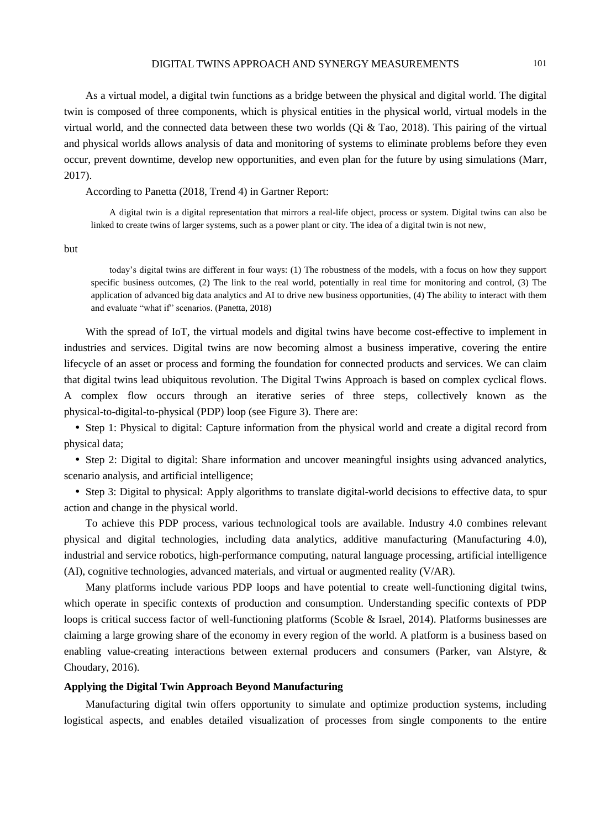#### DIGITAL TWINS APPROACH AND SYNERGY MEASUREMENTS 101

As a virtual model, a digital twin functions as a bridge between the physical and digital world. The digital twin is composed of three components, which is physical entities in the physical world, virtual models in the virtual world, and the connected data between these two worlds (Qi & Tao, 2018). This pairing of the virtual and physical worlds allows analysis of data and monitoring of systems to eliminate problems before they even occur, prevent downtime, develop new opportunities, and even plan for the future by using simulations (Marr, 2017).

According to Panetta (2018, Trend 4) in Gartner Report:

A digital twin is a digital representation that mirrors a real-life object, process or system. Digital twins can also be linked to create twins of larger systems, such as a power plant or city. The idea of a digital twin is not new,

but

today's digital twins are different in four ways: (1) The robustness of the models, with a focus on how they support specific business outcomes, (2) The link to the real world, potentially in real time for monitoring and control, (3) The application of advanced big data analytics and AI to drive new business opportunities, (4) The ability to interact with them and evaluate "what if" scenarios. (Panetta, 2018)

With the spread of IoT, the virtual models and digital twins have become cost-effective to implement in industries and services. Digital twins are now becoming almost a business imperative, covering the entire lifecycle of an asset or process and forming the foundation for connected products and services. We can claim that digital twins lead ubiquitous revolution. The Digital Twins Approach is based on complex cyclical flows. A complex flow occurs through an iterative series of three steps, collectively known as the physical-to-digital-to-physical (PDP) loop (see Figure 3). There are:

 Step 1: Physical to digital: Capture information from the physical world and create a digital record from physical data;

 Step 2: Digital to digital: Share information and uncover meaningful insights using advanced analytics, scenario analysis, and artificial intelligence;

 Step 3: Digital to physical: Apply algorithms to translate digital-world decisions to effective data, to spur action and change in the physical world.

To achieve this PDP process, various technological tools are available. Industry 4.0 combines relevant physical and digital technologies, including data analytics, additive manufacturing (Manufacturing 4.0), industrial and service robotics, high-performance computing, natural language processing, artificial intelligence (AI), cognitive technologies, advanced materials, and virtual or augmented reality (V/AR).

Many platforms include various PDP loops and have potential to create well-functioning digital twins, which operate in specific contexts of production and consumption. Understanding specific contexts of PDP loops is critical success factor of well-functioning platforms (Scoble & Israel, 2014). Platforms businesses are claiming a large growing share of the economy in every region of the world. A platform is a business based on enabling value-creating interactions between external producers and consumers (Parker, van Alstyre, & Choudary, 2016).

#### **Applying the Digital Twin Approach Beyond Manufacturing**

Manufacturing digital twin offers opportunity to simulate and optimize production systems, including logistical aspects, and enables detailed visualization of processes from single components to the entire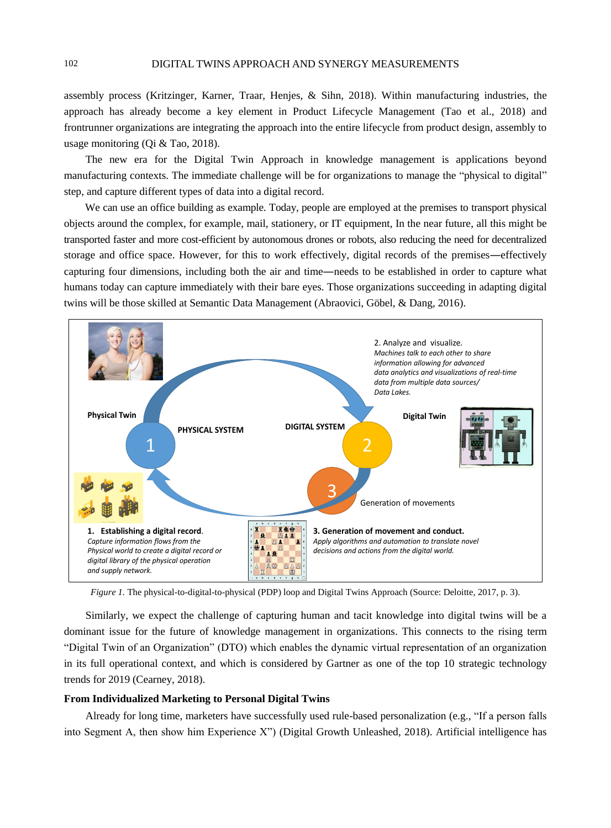assembly process (Kritzinger, Karner, Traar, Henjes, & Sihn, 2018). Within manufacturing industries, the approach has already become a key element in Product Lifecycle Management (Tao et al., 2018) and frontrunner organizations are integrating the approach into the entire lifecycle from product design, assembly to usage monitoring (Qi & Tao, 2018).

The new era for the Digital Twin Approach in knowledge management is applications beyond manufacturing contexts. The immediate challenge will be for organizations to manage the "physical to digital" step, and capture different types of data into a digital record.

We can use an office building as example. Today, people are employed at the premises to transport physical objects around the complex, for example, mail, stationery, or IT equipment, In the near future, all this might be transported faster and more cost-efficient by autonomous drones or robots, also reducing the need for decentralized storage and office space. However, for this to work effectively, digital records of the premises―effectively capturing four dimensions, including both the air and time―needs to be established in order to capture what humans today can capture immediately with their bare eyes. Those organizations succeeding in adapting digital twins will be those skilled at Semantic Data Management (Abraovici, Göbel, & Dang, 2016).



*Figure 1*. The physical-to-digital-to-physical (PDP) loop and Digital Twins Approach (Source: Deloitte, 2017, p. 3).

Similarly, we expect the challenge of capturing human and tacit knowledge into digital twins will be a dominant issue for the future of knowledge management in organizations. This connects to the rising term "Digital Twin of an Organization" (DTO) which enables the dynamic virtual representation of an organization in its full operational context, and which is considered by Gartner as one of the top 10 strategic technology trends for 2019 (Cearney, 2018).

#### **From Individualized Marketing to Personal Digital Twins**

Already for long time, marketers have successfully used rule-based personalization (e.g., "If a person falls into Segment A, then show him Experience X") (Digital Growth Unleashed, 2018). Artificial intelligence has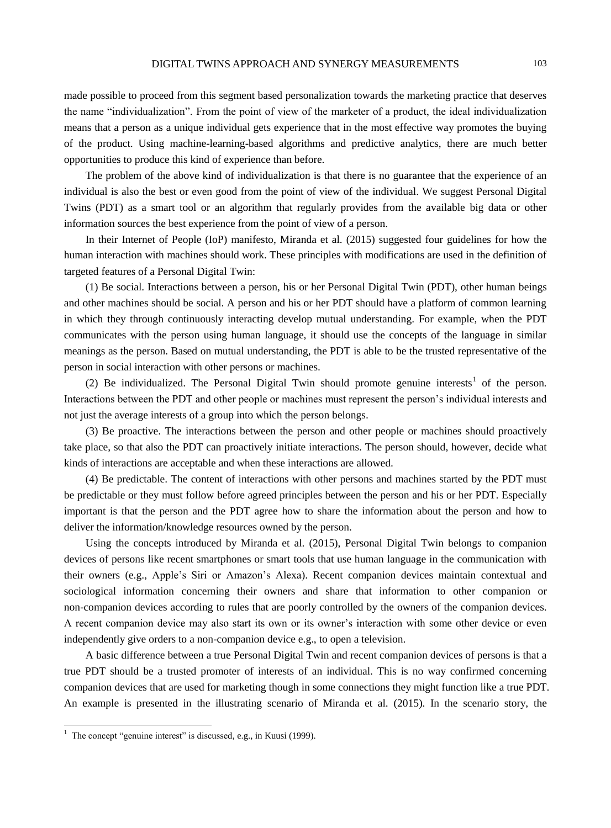made possible to proceed from this segment based personalization towards the marketing practice that deserves the name "individualization". From the point of view of the marketer of a product, the ideal individualization means that a person as a unique individual gets experience that in the most effective way promotes the buying of the product. Using machine-learning-based algorithms and predictive analytics, there are much better opportunities to produce this kind of experience than before.

The problem of the above kind of individualization is that there is no guarantee that the experience of an individual is also the best or even good from the point of view of the individual. We suggest Personal Digital Twins (PDT) as a smart tool or an algorithm that regularly provides from the available big data or other information sources the best experience from the point of view of a person.

In their Internet of People (IoP) manifesto, Miranda et al. (2015) suggested four guidelines for how the human interaction with machines should work. These principles with modifications are used in the definition of targeted features of a Personal Digital Twin:

(1) Be social. Interactions between a person, his or her Personal Digital Twin (PDT), other human beings and other machines should be social. A person and his or her PDT should have a platform of common learning in which they through continuously interacting develop mutual understanding. For example, when the PDT communicates with the person using human language, it should use the concepts of the language in similar meanings as the person. Based on mutual understanding, the PDT is able to be the trusted representative of the person in social interaction with other persons or machines.

(2) Be individualized. The Personal Digital Twin should promote genuine interests<sup>1</sup> of the person. Interactions between the PDT and other people or machines must represent the person's individual interests and not just the average interests of a group into which the person belongs.

(3) Be proactive. The interactions between the person and other people or machines should proactively take place, so that also the PDT can proactively initiate interactions. The person should, however, decide what kinds of interactions are acceptable and when these interactions are allowed.

(4) Be predictable. The content of interactions with other persons and machines started by the PDT must be predictable or they must follow before agreed principles between the person and his or her PDT. Especially important is that the person and the PDT agree how to share the information about the person and how to deliver the information/knowledge resources owned by the person.

Using the concepts introduced by Miranda et al. (2015), Personal Digital Twin belongs to companion devices of persons like recent smartphones or smart tools that use human language in the communication with their owners (e.g., Apple's Siri or Amazon's Alexa). Recent companion devices maintain contextual and sociological information concerning their owners and share that information to other companion or non-companion devices according to rules that are poorly controlled by the owners of the companion devices. A recent companion device may also start its own or its owner's interaction with some other device or even independently give orders to a non-companion device e.g., to open a television.

A basic difference between a true Personal Digital Twin and recent companion devices of persons is that a true PDT should be a trusted promoter of interests of an individual. This is no way confirmed concerning companion devices that are used for marketing though in some connections they might function like a true PDT. An example is presented in the illustrating scenario of Miranda et al. (2015). In the scenario story, the

 $\overline{a}$ 

 $1$  The concept "genuine interest" is discussed, e.g., in Kuusi (1999).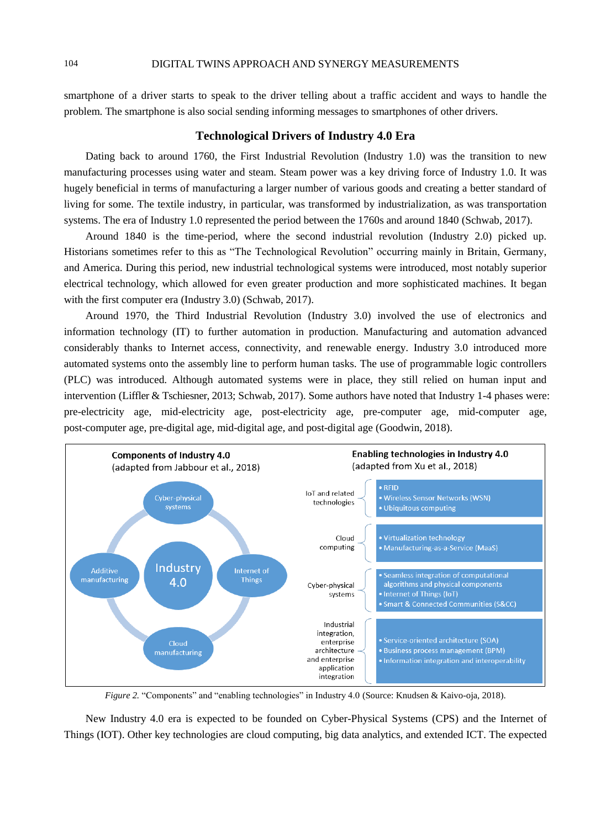smartphone of a driver starts to speak to the driver telling about a traffic accident and ways to handle the problem. The smartphone is also social sending informing messages to smartphones of other drivers.

# **Technological Drivers of Industry 4.0 Era**

Dating back to around 1760, the First Industrial Revolution (Industry 1.0) was the transition to new manufacturing processes using water and steam. Steam power was a key driving force of Industry 1.0. It was hugely beneficial in terms of manufacturing a larger number of various goods and creating a better standard of living for some. The textile industry, in particular, was transformed by industrialization, as was transportation systems. The era of Industry 1.0 represented the period between the 1760s and around 1840 (Schwab, 2017).

Around 1840 is the time-period, where the second industrial revolution (Industry 2.0) picked up. Historians sometimes refer to this as "The Technological Revolution" occurring mainly in Britain, Germany, and America. During this period, new industrial technological systems were introduced, most notably superior electrical technology, which allowed for even greater production and more sophisticated machines. It began with the first computer era (Industry 3.0) (Schwab, 2017).

Around 1970, the Third Industrial Revolution (Industry 3.0) involved the use of electronics and information technology (IT) to further automation in production. Manufacturing and automation advanced considerably thanks to Internet access, connectivity, and renewable energy. Industry 3.0 introduced more automated systems onto the assembly line to perform human tasks. The use of programmable logic controllers (PLC) was introduced. Although automated systems were in place, they still relied on human input and intervention (Liffler & Tschiesner, 2013; Schwab, 2017). Some authors have noted that Industry 1-4 phases were: pre-electricity age, mid-electricity age, post-electricity age, pre-computer age, mid-computer age, post-computer age, pre-digital age, mid-digital age, and post-digital age (Goodwin, 2018).



*Figure 2.* "Components" and "enabling technologies" in Industry 4.0 (Source: Knudsen & Kaivo-oja, 2018).

New Industry 4.0 era is expected to be founded on Cyber-Physical Systems (CPS) and the Internet of Things (IOT). Other key technologies are cloud computing, big data analytics, and extended ICT. The expected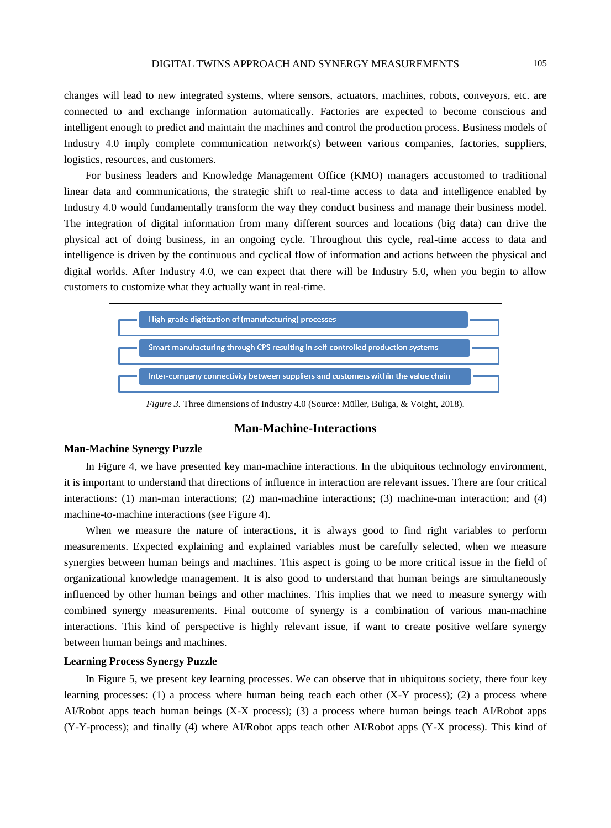changes will lead to new integrated systems, where sensors, actuators, machines, robots, conveyors, etc. are connected to and exchange information automatically. Factories are expected to become conscious and intelligent enough to predict and maintain the machines and control the production process. Business models of Industry 4.0 imply complete communication network(s) between various companies, factories, suppliers, logistics, resources, and customers.

For business leaders and Knowledge Management Office (KMO) managers accustomed to traditional linear data and communications, the strategic shift to real-time access to data and intelligence enabled by Industry 4.0 would fundamentally transform the way they conduct business and manage their business model. The integration of digital information from many different sources and locations (big data) can drive the physical act of doing business, in an ongoing cycle. Throughout this cycle, real-time access to data and intelligence is driven by the continuous and cyclical flow of information and actions between the physical and digital worlds. After Industry 4.0, we can expect that there will be Industry 5.0, when you begin to allow customers to customize what they actually want in real-time.



*Figure* 3. Three dimensions of Industry 4.0 (Source: Müller, Buliga, & Voight, 2018).

### **Man-Machine-Interactions**

#### **Man-Machine Synergy Puzzle**

In Figure 4, we have presented key man-machine interactions. In the ubiquitous technology environment, it is important to understand that directions of influence in interaction are relevant issues. There are four critical interactions: (1) man-man interactions; (2) man-machine interactions; (3) machine-man interaction; and (4) machine-to-machine interactions (see Figure 4).

When we measure the nature of interactions, it is always good to find right variables to perform measurements. Expected explaining and explained variables must be carefully selected, when we measure synergies between human beings and machines. This aspect is going to be more critical issue in the field of organizational knowledge management. It is also good to understand that human beings are simultaneously influenced by other human beings and other machines. This implies that we need to measure synergy with combined synergy measurements. Final outcome of synergy is a combination of various man-machine interactions. This kind of perspective is highly relevant issue, if want to create positive welfare synergy between human beings and machines.

#### **Learning Process Synergy Puzzle**

In Figure 5, we present key learning processes. We can observe that in ubiquitous society, there four key learning processes: (1) a process where human being teach each other  $(X-Y)$  process); (2) a process where AI/Robot apps teach human beings (X-X process); (3) a process where human beings teach AI/Robot apps (Y-Y-process); and finally (4) where AI/Robot apps teach other AI/Robot apps (Y-X process). This kind of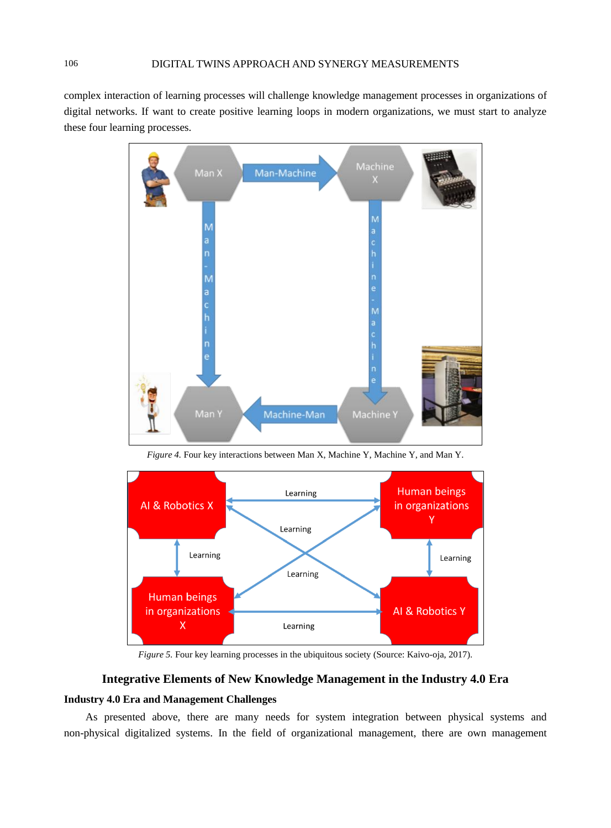complex interaction of learning processes will challenge knowledge management processes in organizations of digital networks. If want to create positive learning loops in modern organizations, we must start to analyze these four learning processes.



*Figure 4.* Four key interactions between Man X, Machine Y, Machine Y, and Man Y.



*Figure 5.* Four key learning processes in the ubiquitous society (Source: Kaivo-oja, 2017).

# **Integrative Elements of New Knowledge Management in the Industry 4.0 Era**

## **Industry 4.0 Era and Management Challenges**

As presented above, there are many needs for system integration between physical systems and non-physical digitalized systems. In the field of organizational management, there are own management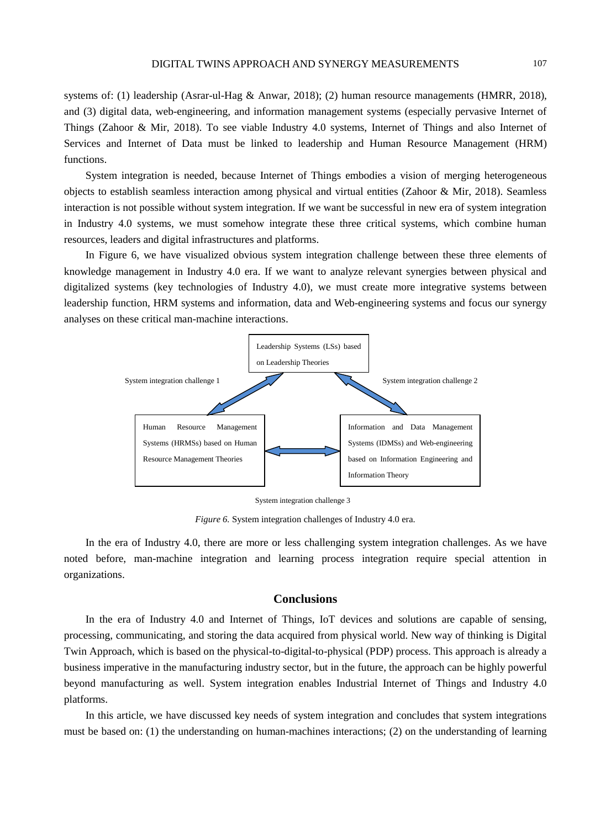systems of: (1) leadership (Asrar-ul-Hag & Anwar, 2018); (2) human resource managements (HMRR, 2018), and (3) digital data, web-engineering, and information management systems (especially pervasive Internet of Things (Zahoor & Mir, 2018). To see viable Industry 4.0 systems, Internet of Things and also Internet of Services and Internet of Data must be linked to leadership and Human Resource Management (HRM) functions.

System integration is needed, because Internet of Things embodies a vision of merging heterogeneous objects to establish seamless interaction among physical and virtual entities (Zahoor & Mir, 2018). Seamless interaction is not possible without system integration. If we want be successful in new era of system integration in Industry 4.0 systems, we must somehow integrate these three critical systems, which combine human resources, leaders and digital infrastructures and platforms.

In Figure 6, we have visualized obvious system integration challenge between these three elements of knowledge management in Industry 4.0 era. If we want to analyze relevant synergies between physical and digitalized systems (key technologies of Industry 4.0), we must create more integrative systems between leadership function, HRM systems and information, data and Web-engineering systems and focus our synergy analyses on these critical man-machine interactions.



System integration challenge 3

*Figure 6.* System integration challenges of Industry 4.0 era.

In the era of Industry 4.0, there are more or less challenging system integration challenges. As we have noted before, man-machine integration and learning process integration require special attention in organizations.

#### **Conclusions**

In the era of Industry 4.0 and Internet of Things, IoT devices and solutions are capable of sensing, processing, communicating, and storing the data acquired from physical world. New way of thinking is Digital Twin Approach, which is based on the physical-to-digital-to-physical (PDP) process. This approach is already a business imperative in the manufacturing industry sector, but in the future, the approach can be highly powerful beyond manufacturing as well. System integration enables Industrial Internet of Things and Industry 4.0 platforms.

In this article, we have discussed key needs of system integration and concludes that system integrations must be based on: (1) the understanding on human-machines interactions; (2) on the understanding of learning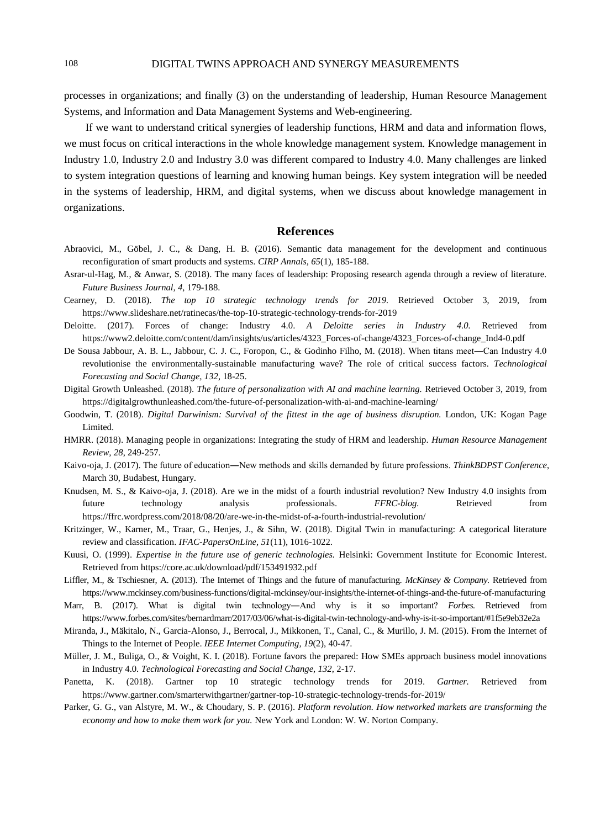processes in organizations; and finally (3) on the understanding of leadership, Human Resource Management Systems, and Information and Data Management Systems and Web-engineering.

If we want to understand critical synergies of leadership functions, HRM and data and information flows, we must focus on critical interactions in the whole knowledge management system. Knowledge management in Industry 1.0, Industry 2.0 and Industry 3.0 was different compared to Industry 4.0. Many challenges are linked to system integration questions of learning and knowing human beings. Key system integration will be needed in the systems of leadership, HRM, and digital systems, when we discuss about knowledge management in organizations.

## **References**

- Abraovici, M., Göbel, J. C., & Dang, H. B. (2016). Semantic data management for the development and continuous reconfiguration of smart products and systems. *CIRP Annals, 65*(1), 185-188.
- Asrar-ul-Hag, M., & Anwar, S. (2018). The many faces of leadership: Proposing research agenda through a review of literature. *Future Business Journal, 4*, 179-188.
- Cearney, D. (2018). *The top 10 strategic technology trends for 2019.* Retrieved October 3, 2019, from <https://www.slideshare.net/ratinecas/the-top-10-strategic-technology-trends-for-2019>
- Deloitte. (2017). Forces of change: Industry 4.0. *A Deloitte series in Industry 4.0.* Retrieved from [https://www2.deloitte.com/content/dam/insights/us/articles/4323\\_Forces-of-change/4323\\_Forces-of-change\\_Ind4-0.pdf](https://www2.deloitte.com/content/dam/insights/us/articles/4323_Forces-of-change/4323_Forces-of-change_Ind4-0.pdf)
- De Sousa Jabbour, A. B. L., Jabbour, C. J. C., Foropon, C., & Godinho Filho, M. (2018). When titans meet―Can Industry 4.0 revolutionise the environmentally-sustainable manufacturing wave? The role of critical success factors. *Technological Forecasting and Social Change, 132*, 18-25.
- Digital Growth Unleashed. (2018). *The future of personalization with AI and machine learning.* Retrieved October 3, 2019, from https://digitalgrowthunleashed.com/the-future-of-personalization-with-ai-and-machine-learning/
- Goodwin, T. (2018). *Digital Darwinism: Survival of the fittest in the age of business disruption.* London, UK: Kogan Page Limited.
- HMRR. (2018). Managing people in organizations: Integrating the study of HRM and leadership. *Human Resource Management Review, 28*, 249-257.
- Kaivo-oja, J. (2017). The future of education―New methods and skills demanded by future professions. *ThinkBDPST Conference*, March 30, Budabest, Hungary.
- Knudsen, M. S., & Kaivo-oja, J. (2018). Are we in the midst of a fourth industrial revolution? New Industry 4.0 insights from future technology analysis professionals. *FFRC-blog.* Retrieved from <https://ffrc.wordpress.com/2018/08/20/are-we-in-the-midst-of-a-fourth-industrial-revolution/>
- Kritzinger, W., Karner, M., Traar, G., Henjes, J., & Sihn, W. (2018). Digital Twin in manufacturing: A categorical literature review and classification. *IFAC-PapersOnLine, 51*(11), 1016-1022.
- Kuusi, O. (1999). *Expertise in the future use of generic technologies.* Helsinki: Government Institute for Economic Interest. Retrieved from https://core.ac.uk/download/pdf/153491932.pdf
- Liffler, M., & Tschiesner, A. (2013). The Internet of Things and the future of manufacturing. *McKinsey & Company.* Retrieved from https://www.mckinsey.com/business-functions/digital-mckinsey/our-insights/the-internet-of-things-and-the-future-of-manufacturing
- Marr, B. (2017). What is digital twin technology―And why is it so important? *Forbes.* Retrieved from <https://www.forbes.com/sites/bernardmarr/2017/03/06/what-is-digital-twin-technology-and-why-is-it-so-important/#1f5e9eb32e2a>
- Miranda, J., Mäkitalo, N., Garcia-Alonso, J., Berrocal, J., Mikkonen, T., Canal, C., & [Murillo,](https://ieeexplore.ieee.org/author/37339344200) J. M. (2015). From the Internet of Things to the Internet of People. *IEEE Internet Computing, 19*(2), 40-47.
- Müller, J. M., Buliga, O., & Voight, K. I. (2018). Fortune favors the prepared: How SMEs approach business model innovations in Industry 4.0. *Technological Forecasting and Social Change, 132*, 2-17.
- Panetta, K. (2018). Gartner top 10 strategic technology trends for 2019. *Gartner.* Retrieved from <https://www.gartner.com/smarterwithgartner/gartner-top-10-strategic-technology-trends-for-2019/>
- Parker, G. G., van Alstyre, M. W., & Choudary, S. P. (2016). *Platform revolution. How networked markets are transforming the economy and how to make them work for you.* New York and London: W. W. Norton Company.